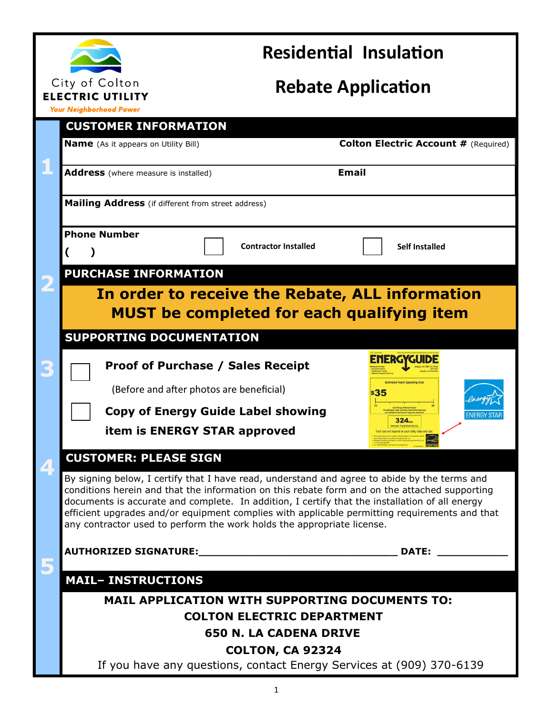

## **Residential Insulation**

# **Rebate Application**

**Your Neighborhood Power** 

| <b>CUSTOMER INFORMATION</b>                                                                                                                                                                                                                                                                                                                                                                                                                                                |                                                              |  |
|----------------------------------------------------------------------------------------------------------------------------------------------------------------------------------------------------------------------------------------------------------------------------------------------------------------------------------------------------------------------------------------------------------------------------------------------------------------------------|--------------------------------------------------------------|--|
| <b>Name</b> (As it appears on Utility Bill)                                                                                                                                                                                                                                                                                                                                                                                                                                | <b>Colton Electric Account # (Required)</b>                  |  |
| <b>Address</b> (where measure is installed)                                                                                                                                                                                                                                                                                                                                                                                                                                | <b>Email</b>                                                 |  |
| <b>Mailing Address</b> (if different from street address)                                                                                                                                                                                                                                                                                                                                                                                                                  |                                                              |  |
| <b>Phone Number</b><br><b>Contractor Installed</b>                                                                                                                                                                                                                                                                                                                                                                                                                         | <b>Self Installed</b>                                        |  |
| <b>PURCHASE INFORMATION</b>                                                                                                                                                                                                                                                                                                                                                                                                                                                |                                                              |  |
| In order to receive the Rebate, ALL information<br><b>MUST</b> be completed for each qualifying item                                                                                                                                                                                                                                                                                                                                                                       |                                                              |  |
| <b>SUPPORTING DOCUMENTATION</b>                                                                                                                                                                                                                                                                                                                                                                                                                                            |                                                              |  |
| <b>Proof of Purchase / Sales Receipt</b><br>(Before and after photos are beneficial)                                                                                                                                                                                                                                                                                                                                                                                       | <b>ENERGYGUIDE</b><br><b>Estimated Yearly Operating Co.</b>  |  |
| <b>Copy of Energy Guide Label showing</b>                                                                                                                                                                                                                                                                                                                                                                                                                                  | s35                                                          |  |
| item is ENERGY STAR approved                                                                                                                                                                                                                                                                                                                                                                                                                                               | ENERGY STA<br>324 <sub>nm</sub><br>led Yearly Electricity Us |  |
| <b>CUSTOMER: PLEASE SIGN</b>                                                                                                                                                                                                                                                                                                                                                                                                                                               |                                                              |  |
| By signing below, I certify that I have read, understand and agree to abide by the terms and<br>conditions herein and that the information on this rebate form and on the attached supporting<br>documents is accurate and complete. In addition, I certify that the installation of all energy<br>efficient upgrades and/or equipment complies with applicable permitting requirements and that<br>any contractor used to perform the work holds the appropriate license. |                                                              |  |
|                                                                                                                                                                                                                                                                                                                                                                                                                                                                            | DATE:                                                        |  |
| <b>MAIL- INSTRUCTIONS</b>                                                                                                                                                                                                                                                                                                                                                                                                                                                  |                                                              |  |
| <b>MAIL APPLICATION WITH SUPPORTING DOCUMENTS TO:</b>                                                                                                                                                                                                                                                                                                                                                                                                                      |                                                              |  |
| <b>COLTON ELECTRIC DEPARTMENT</b>                                                                                                                                                                                                                                                                                                                                                                                                                                          |                                                              |  |
| <b>650 N. LA CADENA DRIVE</b><br><b>COLTON, CA 92324</b>                                                                                                                                                                                                                                                                                                                                                                                                                   |                                                              |  |
| If you have any questions, contact Energy Services at (909) 370-6139                                                                                                                                                                                                                                                                                                                                                                                                       |                                                              |  |